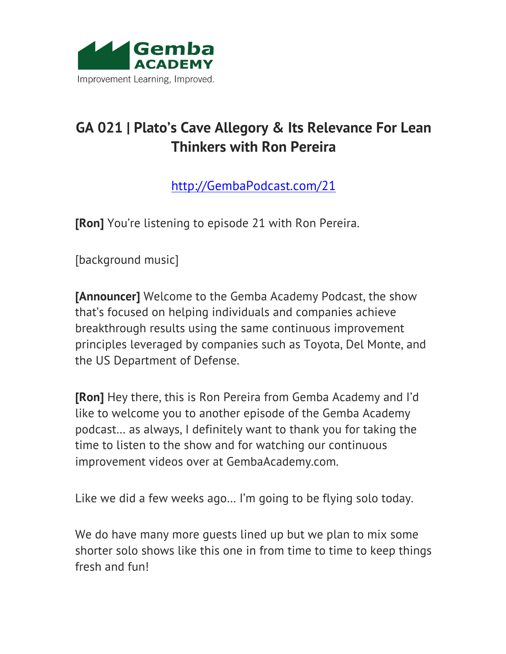

## **GA 021 | Plato's Cave Allegory & Its Relevance For Lean Thinkers with Ron Pereira**

http://GembaPodcast.com/21

**[Ron]** You're listening to episode 21 with Ron Pereira.

[background music]

**[Announcer]** Welcome to the Gemba Academy Podcast, the show that's focused on helping individuals and companies achieve breakthrough results using the same continuous improvement principles leveraged by companies such as Toyota, Del Monte, and the US Department of Defense.

**[Ron]** Hey there, this is Ron Pereira from Gemba Academy and I'd like to welcome you to another episode of the Gemba Academy podcast… as always, I definitely want to thank you for taking the time to listen to the show and for watching our continuous improvement videos over at GembaAcademy.com.

Like we did a few weeks ago… I'm going to be flying solo today.

We do have many more guests lined up but we plan to mix some shorter solo shows like this one in from time to time to keep things fresh and fun!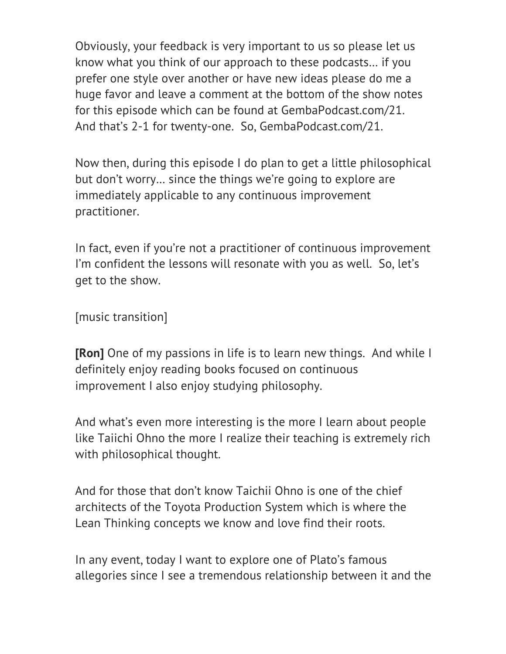Obviously, your feedback is very important to us so please let us know what you think of our approach to these podcasts… if you prefer one style over another or have new ideas please do me a huge favor and leave a comment at the bottom of the show notes for this episode which can be found at GembaPodcast.com/21. And that's 2-1 for twenty-one. So, GembaPodcast.com/21.

Now then, during this episode I do plan to get a little philosophical but don't worry… since the things we're going to explore are immediately applicable to any continuous improvement practitioner.

In fact, even if you're not a practitioner of continuous improvement I'm confident the lessons will resonate with you as well. So, let's get to the show.

[music transition]

**[Ron]** One of my passions in life is to learn new things. And while I definitely enjoy reading books focused on continuous improvement I also enjoy studying philosophy.

And what's even more interesting is the more I learn about people like Taiichi Ohno the more I realize their teaching is extremely rich with philosophical thought.

And for those that don't know Taichii Ohno is one of the chief architects of the Toyota Production System which is where the Lean Thinking concepts we know and love find their roots.

In any event, today I want to explore one of Plato's famous allegories since I see a tremendous relationship between it and the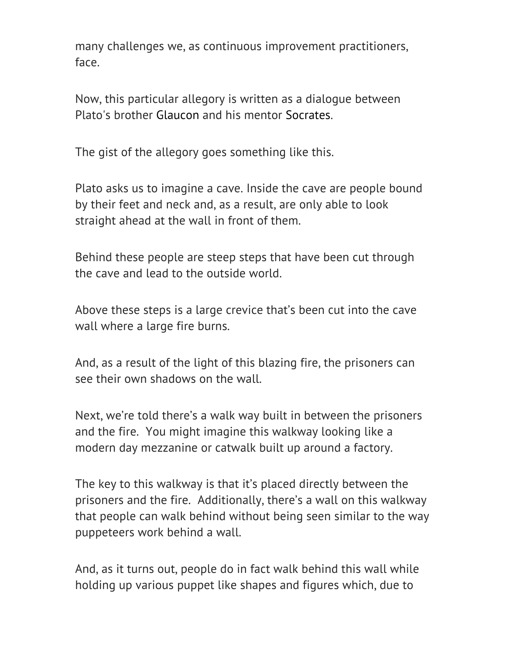many challenges we, as continuous improvement practitioners, face.

Now, this particular allegory is written as a dialogue between Plato's brother Glaucon and his mentor Socrates.

The gist of the allegory goes something like this.

Plato asks us to imagine a cave. Inside the cave are people bound by their feet and neck and, as a result, are only able to look straight ahead at the wall in front of them.

Behind these people are steep steps that have been cut through the cave and lead to the outside world.

Above these steps is a large crevice that's been cut into the cave wall where a large fire burns.

And, as a result of the light of this blazing fire, the prisoners can see their own shadows on the wall.

Next, we're told there's a walk way built in between the prisoners and the fire. You might imagine this walkway looking like a modern day mezzanine or catwalk built up around a factory.

The key to this walkway is that it's placed directly between the prisoners and the fire. Additionally, there's a wall on this walkway that people can walk behind without being seen similar to the way puppeteers work behind a wall.

And, as it turns out, people do in fact walk behind this wall while holding up various puppet like shapes and figures which, due to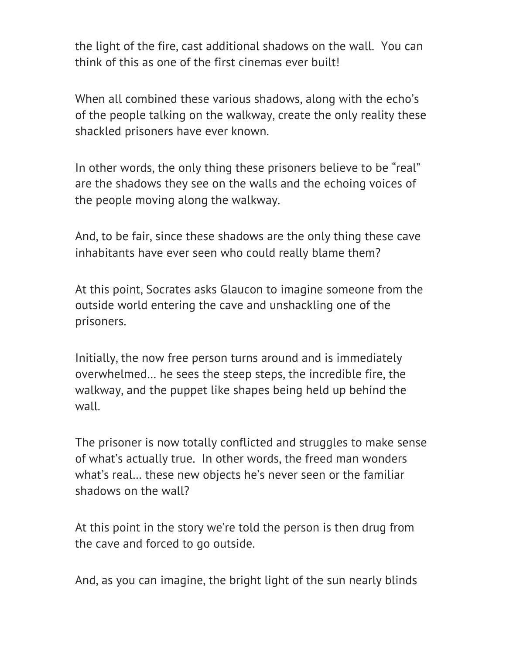the light of the fire, cast additional shadows on the wall. You can think of this as one of the first cinemas ever built!

When all combined these various shadows, along with the echo's of the people talking on the walkway, create the only reality these shackled prisoners have ever known.

In other words, the only thing these prisoners believe to be "real" are the shadows they see on the walls and the echoing voices of the people moving along the walkway.

And, to be fair, since these shadows are the only thing these cave inhabitants have ever seen who could really blame them?

At this point, Socrates asks Glaucon to imagine someone from the outside world entering the cave and unshackling one of the prisoners.

Initially, the now free person turns around and is immediately overwhelmed… he sees the steep steps, the incredible fire, the walkway, and the puppet like shapes being held up behind the wall.

The prisoner is now totally conflicted and struggles to make sense of what's actually true. In other words, the freed man wonders what's real… these new objects he's never seen or the familiar shadows on the wall?

At this point in the story we're told the person is then drug from the cave and forced to go outside.

And, as you can imagine, the bright light of the sun nearly blinds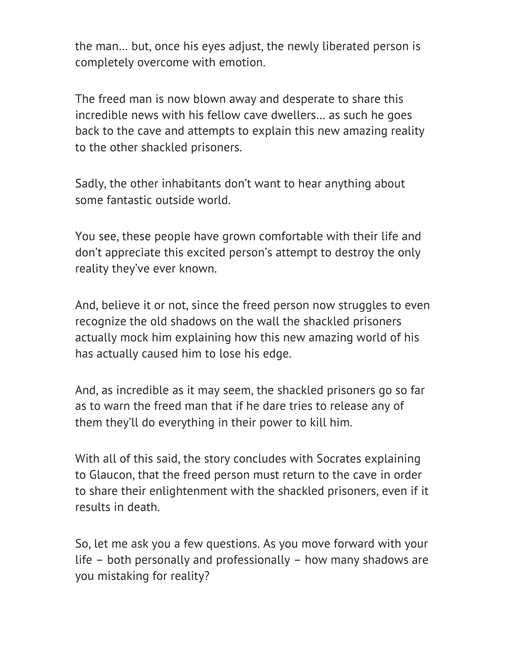the man… but, once his eyes adjust, the newly liberated person is completely overcome with emotion.

The freed man is now blown away and desperate to share this incredible news with his fellow cave dwellers… as such he goes back to the cave and attempts to explain this new amazing reality to the other shackled prisoners.

Sadly, the other inhabitants don't want to hear anything about some fantastic outside world.

You see, these people have grown comfortable with their life and don't appreciate this excited person's attempt to destroy the only reality they've ever known.

And, believe it or not, since the freed person now struggles to even recognize the old shadows on the wall the shackled prisoners actually mock him explaining how this new amazing world of his has actually caused him to lose his edge.

And, as incredible as it may seem, the shackled prisoners go so far as to warn the freed man that if he dare tries to release any of them they'll do everything in their power to kill him.

With all of this said, the story concludes with Socrates explaining to Glaucon, that the freed person must return to the cave in order to share their enlightenment with the shackled prisoners, even if it results in death.

So, let me ask you a few questions. As you move forward with your life – both personally and professionally – how many shadows are you mistaking for reality?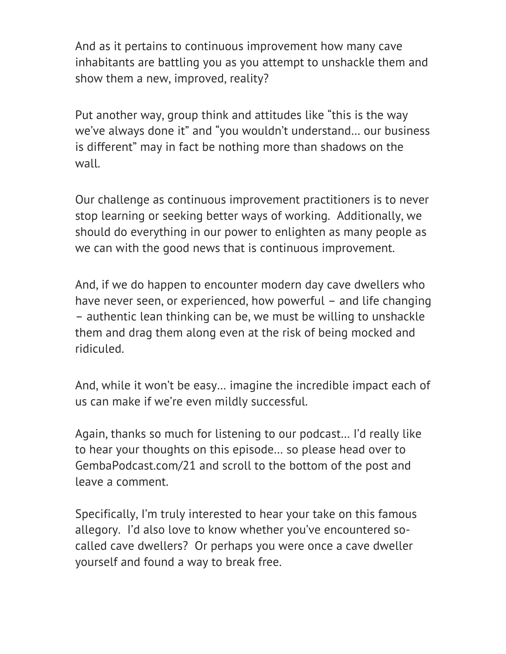And as it pertains to continuous improvement how many cave inhabitants are battling you as you attempt to unshackle them and show them a new, improved, reality?

Put another way, group think and attitudes like "this is the way we've always done it" and "you wouldn't understand… our business is different" may in fact be nothing more than shadows on the wall.

Our challenge as continuous improvement practitioners is to never stop learning or seeking better ways of working. Additionally, we should do everything in our power to enlighten as many people as we can with the good news that is continuous improvement.

And, if we do happen to encounter modern day cave dwellers who have never seen, or experienced, how powerful – and life changing – authentic lean thinking can be, we must be willing to unshackle them and drag them along even at the risk of being mocked and ridiculed.

And, while it won't be easy… imagine the incredible impact each of us can make if we're even mildly successful.

Again, thanks so much for listening to our podcast… I'd really like to hear your thoughts on this episode… so please head over to GembaPodcast.com/21 and scroll to the bottom of the post and leave a comment.

Specifically, I'm truly interested to hear your take on this famous allegory. I'd also love to know whether you've encountered socalled cave dwellers? Or perhaps you were once a cave dweller yourself and found a way to break free.